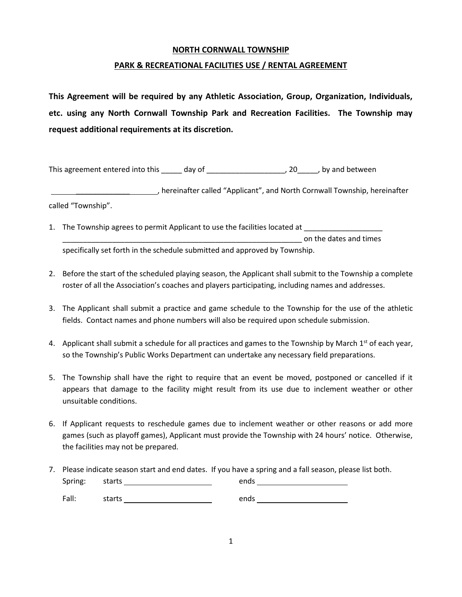## **NORTH CORNWALL TOWNSHIP**

## **PARK & RECREATIONAL FACILITIES USE / RENTAL AGREEMENT**

**This Agreement will be required by any Athletic Association, Group, Organization, Individuals, etc. using any North Cornwall Township Park and Recreation Facilities. The Township may request additional requirements at its discretion.**

This agreement entered into this \_\_\_\_\_ day of \_\_\_\_\_\_\_\_\_\_\_\_\_\_\_\_\_\_\_\_\_, 20\_\_\_\_\_, by and between

\_\_\_\_\_\_\_\_\_\_\_\_\_ , hereinafter called "Applicant", and North Cornwall Township, hereinafter

called "Township".

- 1. The Township agrees to permit Applicant to use the facilities located at \_\_\_\_\_\_\_\_\_\_\_\_\_\_\_\_\_\_\_\_\_\_\_\_ \_\_\_\_\_\_\_\_\_\_\_\_\_\_\_\_\_\_\_\_\_\_\_\_\_\_\_\_\_\_\_\_\_\_\_\_\_\_\_\_\_\_\_\_\_\_\_\_\_\_\_\_\_\_\_\_\_\_ on the dates and times specifically set forth in the schedule submitted and approved by Township.
- 2. Before the start of the scheduled playing season, the Applicant shall submit to the Township a complete roster of all the Association's coaches and players participating, including names and addresses.
- 3. The Applicant shall submit a practice and game schedule to the Township for the use of the athletic fields. Contact names and phone numbers will also be required upon schedule submission.
- 4. Applicant shall submit a schedule for all practices and games to the Township by March  $1<sup>st</sup>$  of each year, so the Township's Public Works Department can undertake any necessary field preparations.
- 5. The Township shall have the right to require that an event be moved, postponed or cancelled if it appears that damage to the facility might result from its use due to inclement weather or other unsuitable conditions.
- 6. If Applicant requests to reschedule games due to inclement weather or other reasons or add more games (such as playoff games), Applicant must provide the Township with 24 hours' notice. Otherwise, the facilities may not be prepared.
- 7. Please indicate season start and end dates. If you have a spring and a fall season, please list both. Spring: starts ends ends

Fall: starts ends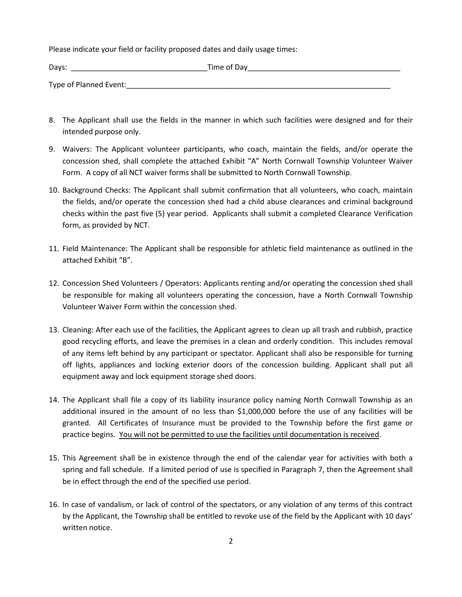Please indicate your field or facility proposed dates and daily usage times:

| Days:                  | Time of Day |  |
|------------------------|-------------|--|
| Type of Planned Event: |             |  |

- 8. The Applicant shall use the fields in the manner in which such facilities were designed and for their intended purpose only.
- 9. Waivers: The Applicant volunteer participants, who coach, maintain the fields, and/or operate the concession shed, shall complete the attached Exhibit "A" North Cornwall Township Volunteer Waiver Form. A copy of all NCT waiver forms shall be submitted to North Cornwall Township.
- 10. Background Checks: The Applicant shall submit confirmation that all volunteers, who coach, maintain the fields, and/or operate the concession shed had a child abuse clearances and criminal background checks within the past five (5) year period. Applicants shall submit a completed Clearance Verification form, as provided by NCT.
- 11. Field Maintenance: The Applicant shall be responsible for athletic field maintenance as outlined in the attached Exhibit "B".
- 12. Concession Shed Volunteers / Operators: Applicants renting and/or operating the concession shed shall be responsible for making all volunteers operating the concession, have a North Cornwall Township Volunteer Waiver Form within the concession shed.
- 13. Cleaning: After each use of the facilities, the Applicant agrees to clean up all trash and rubbish, practice good recycling efforts, and leave the premises in a clean and orderly condition. This includes removal of any items left behind by any participant or spectator. Applicant shall also be responsible for turning off lights, appliances and locking exterior doors of the concession building. Applicant shall put all equipment away and lock equipment storage shed doors.
- 14. The Applicant shall file a copy of its liability insurance policy naming North Cornwall Township as an additional insured in the amount of no less than \$1,000,000 before the use of any facilities will be granted. All Certificates of Insurance must be provided to the Township before the first game or practice begins. You will not be permitted to use the facilities until documentation is received.
- 15. This Agreement shall be in existence through the end of the calendar year for activities with both a spring and fall schedule. If a limited period of use is specified in Paragraph 7, then the Agreement shall be in effect through the end of the specified use period.
- 16. In case of vandalism, or lack of control of the spectators, or any violation of any terms of this contract by the Applicant, the Township shall be entitled to revoke use of the field by the Applicant with 10 days' written notice.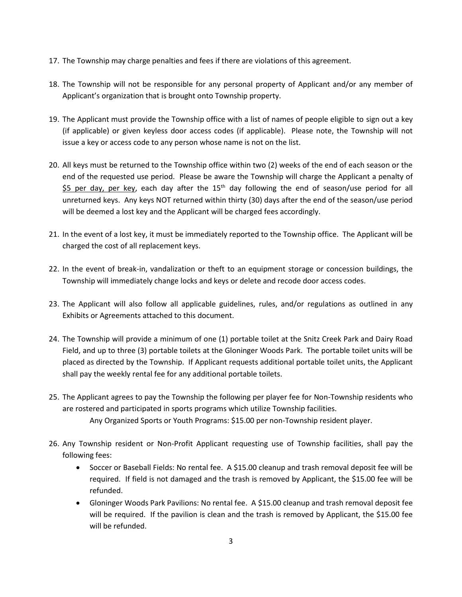- 17. The Township may charge penalties and fees if there are violations of this agreement.
- 18. The Township will not be responsible for any personal property of Applicant and/or any member of Applicant's organization that is brought onto Township property.
- 19. The Applicant must provide the Township office with a list of names of people eligible to sign out a key (if applicable) or given keyless door access codes (if applicable). Please note, the Township will not issue a key or access code to any person whose name is not on the list.
- 20. All keys must be returned to the Township office within two (2) weeks of the end of each season or the end of the requested use period. Please be aware the Township will charge the Applicant a penalty of \$5 per day, per key, each day after the  $15<sup>th</sup>$  day following the end of season/use period for all unreturned keys. Any keys NOT returned within thirty (30) days after the end of the season/use period will be deemed a lost key and the Applicant will be charged fees accordingly.
- 21. In the event of a lost key, it must be immediately reported to the Township office. The Applicant will be charged the cost of all replacement keys.
- 22. In the event of break-in, vandalization or theft to an equipment storage or concession buildings, the Township will immediately change locks and keys or delete and recode door access codes.
- 23. The Applicant will also follow all applicable guidelines, rules, and/or regulations as outlined in any Exhibits or Agreements attached to this document.
- 24. The Township will provide a minimum of one (1) portable toilet at the Snitz Creek Park and Dairy Road Field, and up to three (3) portable toilets at the Gloninger Woods Park. The portable toilet units will be placed as directed by the Township. If Applicant requests additional portable toilet units, the Applicant shall pay the weekly rental fee for any additional portable toilets.
- 25. The Applicant agrees to pay the Township the following per player fee for Non-Township residents who are rostered and participated in sports programs which utilize Township facilities.
	- Any Organized Sports or Youth Programs: \$15.00 per non-Township resident player.
- 26. Any Township resident or Non-Profit Applicant requesting use of Township facilities, shall pay the following fees:
	- Soccer or Baseball Fields: No rental fee. A \$15.00 cleanup and trash removal deposit fee will be required. If field is not damaged and the trash is removed by Applicant, the \$15.00 fee will be refunded.
	- Gloninger Woods Park Pavilions: No rental fee. A \$15.00 cleanup and trash removal deposit fee will be required. If the pavilion is clean and the trash is removed by Applicant, the \$15.00 fee will be refunded.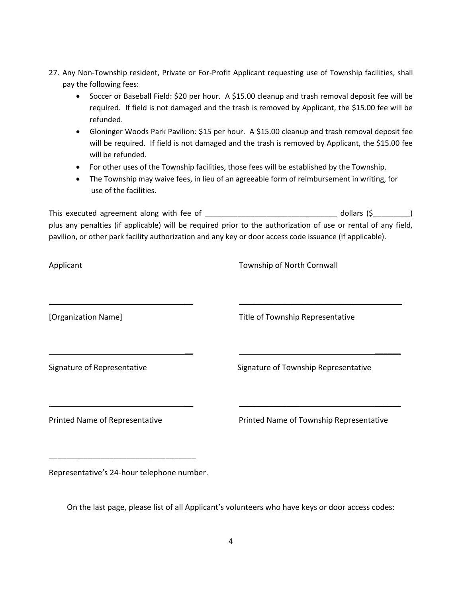- 27. Any Non-Township resident, Private or For-Profit Applicant requesting use of Township facilities, shall pay the following fees:
	- Soccer or Baseball Field: \$20 per hour. A \$15.00 cleanup and trash removal deposit fee will be required. If field is not damaged and the trash is removed by Applicant, the \$15.00 fee will be refunded.
	- Gloninger Woods Park Pavilion: \$15 per hour. A \$15.00 cleanup and trash removal deposit fee will be required. If field is not damaged and the trash is removed by Applicant, the \$15.00 fee will be refunded.
	- For other uses of the Township facilities, those fees will be established by the Township.
	- The Township may waive fees, in lieu of an agreeable form of reimbursement in writing, for use of the facilities.

This executed agreement along with fee of  $\qquad \qquad$   $\qquad \qquad$  dollars (\$ plus any penalties (if applicable) will be required prior to the authorization of use or rental of any field, pavilion, or other park facility authorization and any key or door access code issuance (if applicable).

| Applicant                      | Township of North Cornwall              |
|--------------------------------|-----------------------------------------|
| [Organization Name]            | Title of Township Representative        |
| Signature of Representative    | Signature of Township Representative    |
| Printed Name of Representative | Printed Name of Township Representative |
|                                |                                         |

Representative's 24-hour telephone number.

On the last page, please list of all Applicant's volunteers who have keys or door access codes: